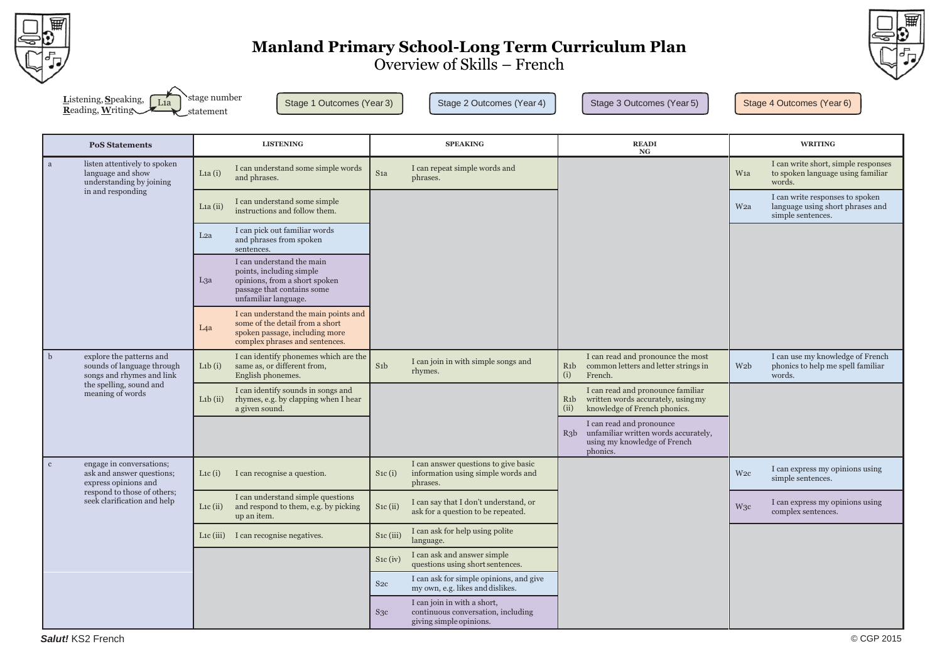

# **Manland Primary School-Long Term Curriculum Plan**



Overview of Skills – French

| <b>L</b> istening, Speaking, $\boxed{L1a}$ stage number |                                 |
|---------------------------------------------------------|---------------------------------|
| Reading, Writing                                        | $\blacktriangleright$ statement |

Stage 1 Outcomes (Year 3) Stage 2 Outcomes (Year 4) Stage 3 Outcomes (Year 5) Stage 4 Outcomes (Year 6)

| <b>PoS Statements</b>                                                                        | <b>LISTENING</b>                                                                                                                                                |                        | <b>SPEAKING</b>                                                                              | <b>READI</b><br><b>NG</b>                                                                                                           | <b>WRITING</b>                                                                                              |
|----------------------------------------------------------------------------------------------|-----------------------------------------------------------------------------------------------------------------------------------------------------------------|------------------------|----------------------------------------------------------------------------------------------|-------------------------------------------------------------------------------------------------------------------------------------|-------------------------------------------------------------------------------------------------------------|
| listen attentively to spoken<br>a<br>language and show<br>understanding by joining           | I can understand some simple words<br>L <sub>1a</sub> $(i)$<br>and phrases.                                                                                     | S <sub>1</sub> a       | I can repeat simple words and<br>phrases.                                                    |                                                                                                                                     | I can write short, simple responses<br>to spoken language using familiar<br>W <sub>1</sub> a<br>words.      |
| in and responding                                                                            | I can understand some simple<br>La (ii)<br>instructions and follow them.                                                                                        |                        |                                                                                              |                                                                                                                                     | I can write responses to spoken<br>language using short phrases and<br>W <sub>2a</sub><br>simple sentences. |
|                                                                                              | I can pick out familiar words<br>L <sub>2</sub> a<br>and phrases from spoken<br>sentences.                                                                      |                        |                                                                                              |                                                                                                                                     |                                                                                                             |
|                                                                                              | I can understand the main<br>points, including simple<br>L3a<br>opinions, from a short spoken<br>passage that contains some<br>unfamiliar language.             |                        |                                                                                              |                                                                                                                                     |                                                                                                             |
|                                                                                              | I can understand the main points and<br>some of the detail from a short<br>L <sub>4</sub> a<br>spoken passage, including more<br>complex phrases and sentences. |                        |                                                                                              |                                                                                                                                     |                                                                                                             |
| b<br>explore the patterns and<br>sounds of language through<br>songs and rhymes and link     | I can identify phonemes which are the<br>same as, or different from,<br>L <sub>1</sub> b $(i)$<br>English phonemes.                                             | S <sub>1</sub> b       | I can join in with simple songs and<br>rhymes.                                               | I can read and pronounce the most<br>common letters and letter strings in<br>R <sub>1</sub> b<br>(i)<br>French.                     | I can use my knowledge of French<br>phonics to help me spell familiar<br>W <sub>2</sub> b<br>words.         |
| the spelling, sound and<br>meaning of words                                                  | I can identify sounds in songs and<br>$L1b$ (ii)<br>rhymes, e.g. by clapping when I hear<br>a given sound.                                                      |                        |                                                                                              | I can read and pronounce familiar<br>written words accurately, using my<br>R <sub>1</sub> b<br>knowledge of French phonics.<br>(ii) |                                                                                                             |
|                                                                                              |                                                                                                                                                                 |                        |                                                                                              | I can read and pronounce<br>unfamiliar written words accurately,<br>$R_3b$<br>using my knowledge of French<br>phonics.              |                                                                                                             |
| engage in conversations;<br>$\mathbf c$<br>ask and answer questions;<br>express opinions and | I can recognise a question.<br>L <sub>1</sub> c $(i)$                                                                                                           | $S_1c(i)$              | I can answer questions to give basic<br>information using simple words and<br>phrases.       |                                                                                                                                     | I can express my opinions using<br>W2c<br>simple sentences.                                                 |
| respond to those of others;<br>seek clarification and help                                   | I can understand simple questions<br>and respond to them, e.g. by picking<br>L <sub>1</sub> c $(ii)$<br>up an item.                                             | $S_1c(i)$              | I can say that I don't understand, or<br>ask for a question to be repeated.                  |                                                                                                                                     | I can express my opinions using<br>W <sub>3</sub> c<br>complex sentences.                                   |
|                                                                                              | I can recognise negatives.<br>L <sub>1</sub> c (iii)                                                                                                            | S <sub>1</sub> c (iii) | I can ask for help using polite<br>language.                                                 |                                                                                                                                     |                                                                                                             |
|                                                                                              |                                                                                                                                                                 | $S_1c$ (iv)            | I can ask and answer simple<br>questions using short sentences.                              |                                                                                                                                     |                                                                                                             |
|                                                                                              |                                                                                                                                                                 | S <sub>2c</sub>        | I can ask for simple opinions, and give<br>my own, e.g. likes and dislikes.                  |                                                                                                                                     |                                                                                                             |
|                                                                                              |                                                                                                                                                                 | S <sub>3c</sub>        | I can join in with a short,<br>continuous conversation, including<br>giving simple opinions. |                                                                                                                                     |                                                                                                             |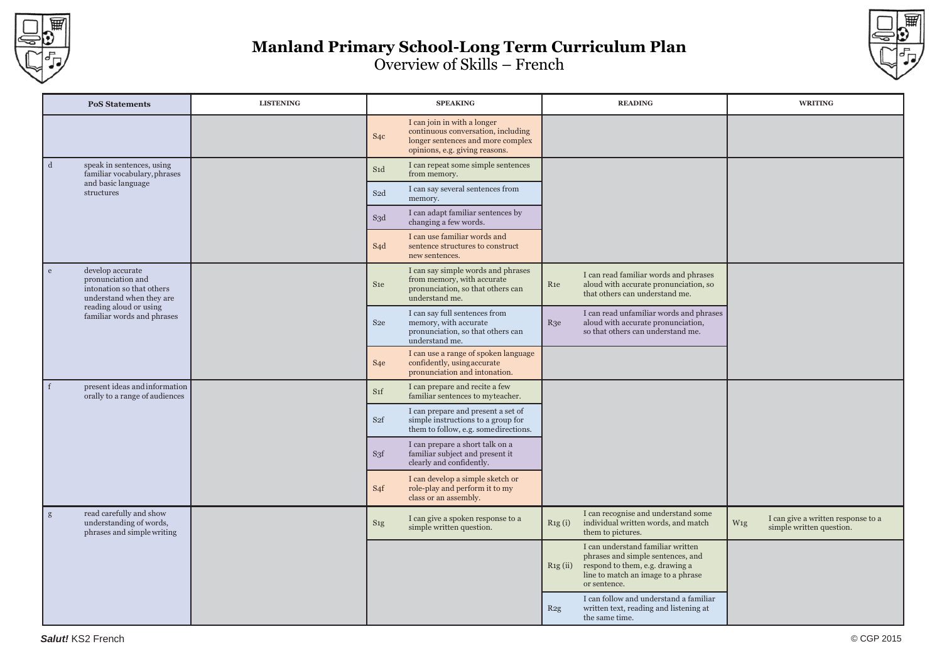



| <b>PoS Statements</b>                                                                               | <b>LISTENING</b> |                  | <b>SPEAKING</b>                                                                                                                          |                 | <b>READING</b>                                                                                                                                                  | <b>WRITING</b>                                                        |
|-----------------------------------------------------------------------------------------------------|------------------|------------------|------------------------------------------------------------------------------------------------------------------------------------------|-----------------|-----------------------------------------------------------------------------------------------------------------------------------------------------------------|-----------------------------------------------------------------------|
|                                                                                                     |                  | S <sub>4</sub> c | I can join in with a longer<br>continuous conversation, including<br>longer sentences and more complex<br>opinions, e.g. giving reasons. |                 |                                                                                                                                                                 |                                                                       |
| speak in sentences, using<br>d<br>familiar vocabulary, phrases                                      |                  | S <sub>1</sub> d | I can repeat some simple sentences<br>from memory.                                                                                       |                 |                                                                                                                                                                 |                                                                       |
| and basic language<br>structures                                                                    |                  | S <sub>2</sub> d | I can say several sentences from<br>memory.                                                                                              |                 |                                                                                                                                                                 |                                                                       |
|                                                                                                     |                  | S3d              | I can adapt familiar sentences by<br>changing a few words.                                                                               |                 |                                                                                                                                                                 |                                                                       |
|                                                                                                     |                  | S <sub>4</sub> d | I can use familiar words and<br>sentence structures to construct<br>new sentences.                                                       |                 |                                                                                                                                                                 |                                                                       |
| develop accurate<br>e<br>pronunciation and<br>intonation so that others<br>understand when they are |                  | S <sub>1e</sub>  | I can say simple words and phrases<br>from memory, with accurate<br>pronunciation, so that others can<br>understand me.                  | R <sub>1e</sub> | I can read familiar words and phrases<br>aloud with accurate pronunciation, so<br>that others can understand me.                                                |                                                                       |
| reading aloud or using<br>familiar words and phrases                                                |                  | S <sub>2e</sub>  | I can say full sentences from<br>memory, with accurate<br>pronunciation, so that others can<br>understand me.                            | $R_3e$          | I can read unfamiliar words and phrases<br>aloud with accurate pronunciation,<br>so that others can understand me.                                              |                                                                       |
|                                                                                                     |                  | S <sub>4</sub> e | I can use a range of spoken language<br>confidently, using accurate<br>pronunciation and intonation.                                     |                 |                                                                                                                                                                 |                                                                       |
| present ideas and information<br>$\mathbf{f}$<br>orally to a range of audiences                     |                  | S <sub>1</sub> f | I can prepare and recite a few<br>familiar sentences to myteacher.                                                                       |                 |                                                                                                                                                                 |                                                                       |
|                                                                                                     |                  | S <sub>2f</sub>  | I can prepare and present a set of<br>simple instructions to a group for<br>them to follow, e.g. somedirections.                         |                 |                                                                                                                                                                 |                                                                       |
|                                                                                                     |                  | S <sub>3f</sub>  | I can prepare a short talk on a<br>familiar subject and present it<br>clearly and confidently.                                           |                 |                                                                                                                                                                 |                                                                       |
|                                                                                                     |                  | S <sub>4</sub> f | I can develop a simple sketch or<br>role-play and perform it to my<br>class or an assembly.                                              |                 |                                                                                                                                                                 |                                                                       |
| read carefully and show<br>g<br>understanding of words,<br>phrases and simple writing               |                  | S <sub>1g</sub>  | I can give a spoken response to a<br>simple written question.                                                                            | Rig(i)          | I can recognise and understand some<br>individual written words, and match<br>them to pictures.                                                                 | I can give a written response to a<br>W1g<br>simple written question. |
|                                                                                                     |                  |                  |                                                                                                                                          | Rig(ii)         | I can understand familiar written<br>phrases and simple sentences, and<br>respond to them, e.g. drawing a<br>line to match an image to a phrase<br>or sentence. |                                                                       |
|                                                                                                     |                  |                  |                                                                                                                                          | R2g             | I can follow and understand a familiar<br>written text, reading and listening at<br>the same time.                                                              |                                                                       |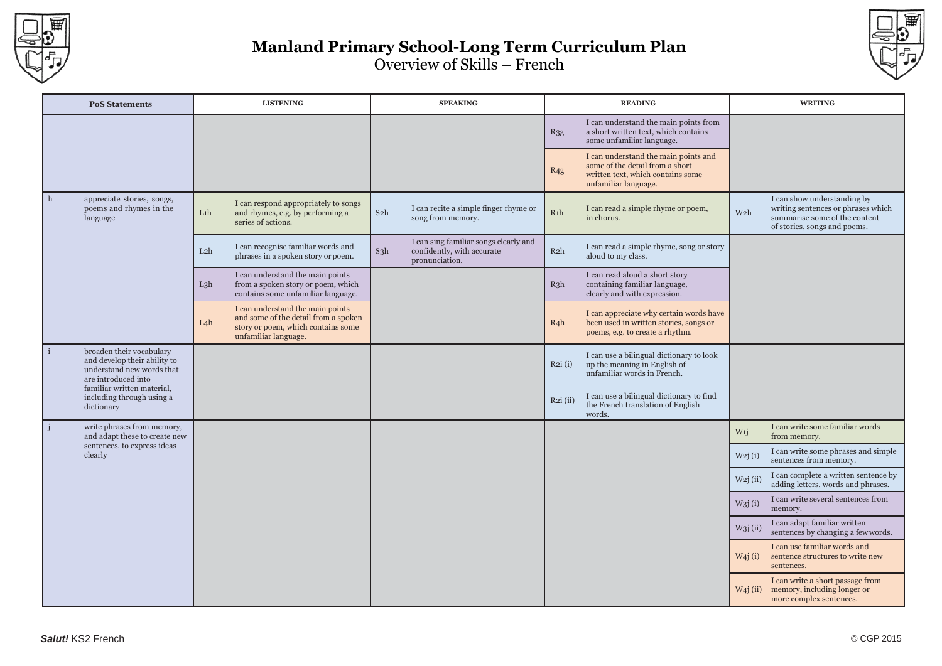



| <b>PoS Statements</b>                                                                                        | <b>LISTENING</b> |                                                                                                                                        |                  | <b>SPEAKING</b>                                                                       | <b>READING</b>   |                                                                                                                                      | <b>WRITING</b>      |                                                                                                                                    |
|--------------------------------------------------------------------------------------------------------------|------------------|----------------------------------------------------------------------------------------------------------------------------------------|------------------|---------------------------------------------------------------------------------------|------------------|--------------------------------------------------------------------------------------------------------------------------------------|---------------------|------------------------------------------------------------------------------------------------------------------------------------|
|                                                                                                              |                  |                                                                                                                                        |                  |                                                                                       | $R_{3g}$         | I can understand the main points from<br>a short written text, which contains<br>some unfamiliar language.                           |                     |                                                                                                                                    |
|                                                                                                              |                  |                                                                                                                                        |                  |                                                                                       | R4g              | I can understand the main points and<br>some of the detail from a short<br>written text, which contains some<br>unfamiliar language. |                     |                                                                                                                                    |
| h<br>appreciate stories, songs,<br>poems and rhymes in the<br>language                                       | Lih              | I can respond appropriately to songs<br>and rhymes, e.g. by performing a<br>series of actions.                                         | S <sub>2</sub> h | I can recite a simple finger rhyme or<br>song from memory.                            | R1h              | I can read a simple rhyme or poem,<br>in chorus.                                                                                     | W <sub>2</sub> h    | I can show understanding by<br>writing sentences or phrases which<br>summarise some of the content<br>of stories, songs and poems. |
|                                                                                                              | L <sub>2</sub> h | I can recognise familiar words and<br>phrases in a spoken story or poem.                                                               | $S_3h$           | I can sing familiar songs clearly and<br>confidently, with accurate<br>pronunciation. | R <sub>2</sub> h | I can read a simple rhyme, song or story<br>aloud to my class.                                                                       |                     |                                                                                                                                    |
|                                                                                                              | L3h              | I can understand the main points<br>from a spoken story or poem, which<br>contains some unfamiliar language.                           |                  |                                                                                       | $R_3h$           | I can read aloud a short story<br>containing familiar language,<br>clearly and with expression.                                      |                     |                                                                                                                                    |
|                                                                                                              | $L_4h$           | I can understand the main points<br>and some of the detail from a spoken<br>story or poem, which contains some<br>unfamiliar language. |                  |                                                                                       | $R_4h$           | I can appreciate why certain words have<br>been used in written stories, songs or<br>poems, e.g. to create a rhythm.                 |                     |                                                                                                                                    |
| broaden their vocabulary<br>and develop their ability to<br>understand new words that<br>are introduced into |                  |                                                                                                                                        |                  |                                                                                       | R2i(i)           | I can use a bilingual dictionary to look<br>up the meaning in English of<br>unfamiliar words in French.                              |                     |                                                                                                                                    |
| familiar written material,<br>including through using a<br>dictionary                                        |                  |                                                                                                                                        |                  |                                                                                       | $R2i$ (ii)       | I can use a bilingual dictionary to find<br>the French translation of English<br>words.                                              |                     |                                                                                                                                    |
| write phrases from memory,<br>and adapt these to create new                                                  |                  |                                                                                                                                        |                  |                                                                                       |                  |                                                                                                                                      | W1j                 | I can write some familiar words<br>from memory.                                                                                    |
| sentences, to express ideas<br>clearly                                                                       |                  |                                                                                                                                        |                  |                                                                                       |                  |                                                                                                                                      | W2j(i)              | I can write some phrases and simple<br>sentences from memory.                                                                      |
|                                                                                                              |                  |                                                                                                                                        |                  |                                                                                       |                  |                                                                                                                                      | $W2j$ (ii)          | I can complete a written sentence by<br>adding letters, words and phrases.                                                         |
|                                                                                                              |                  |                                                                                                                                        |                  |                                                                                       |                  |                                                                                                                                      | W3j(i)              | I can write several sentences from<br>memory.                                                                                      |
|                                                                                                              |                  |                                                                                                                                        |                  |                                                                                       |                  |                                                                                                                                      | W3j(ii)             | I can adapt familiar written<br>sentences by changing a few words.                                                                 |
|                                                                                                              |                  |                                                                                                                                        |                  |                                                                                       |                  |                                                                                                                                      | W <sub>4</sub> j(i) | I can use familiar words and<br>sentence structures to write new<br>sentences.                                                     |
|                                                                                                              |                  |                                                                                                                                        |                  |                                                                                       |                  |                                                                                                                                      | $W_4$ j $(ii)$      | I can write a short passage from<br>memory, including longer or<br>more complex sentences.                                         |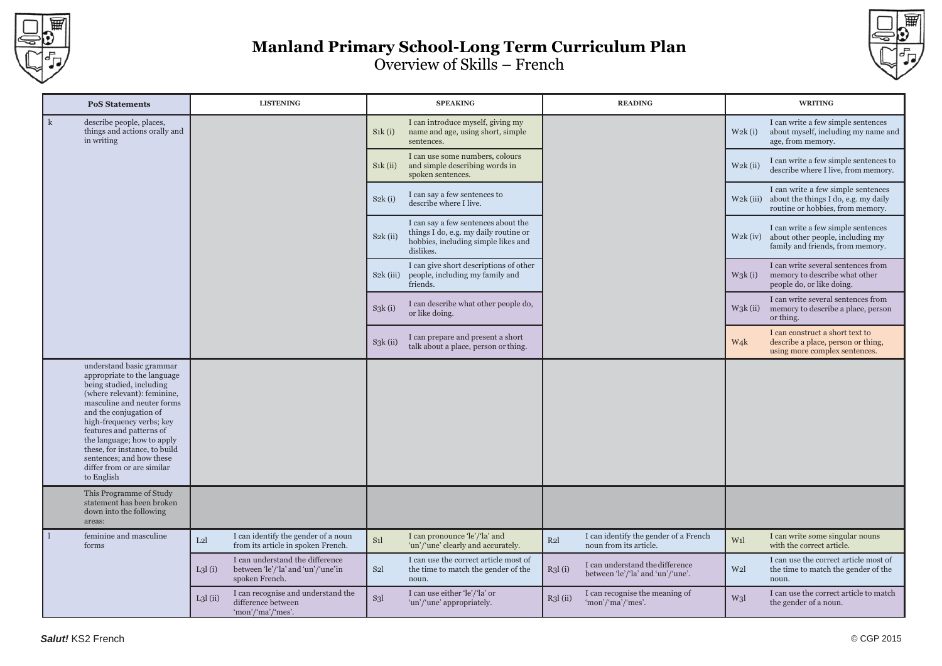



| <b>PoS Statements</b>                                                                                                                                                                                                                                                                                                                                                      | <b>LISTENING</b>                                                                                  | <b>SPEAKING</b>                                                                                                                                | <b>READING</b>                                                                 | <b>WRITING</b>                                                                                                                |  |  |
|----------------------------------------------------------------------------------------------------------------------------------------------------------------------------------------------------------------------------------------------------------------------------------------------------------------------------------------------------------------------------|---------------------------------------------------------------------------------------------------|------------------------------------------------------------------------------------------------------------------------------------------------|--------------------------------------------------------------------------------|-------------------------------------------------------------------------------------------------------------------------------|--|--|
| $\mathbf{k}$<br>describe people, places,<br>things and actions orally and<br>in writing                                                                                                                                                                                                                                                                                    |                                                                                                   | I can introduce myself, giving my<br>S <sub>1</sub> <sub>k</sub> (i)<br>name and age, using short, simple<br>sentences.                        |                                                                                | I can write a few simple sentences<br>W2k(i)<br>about myself, including my name and<br>age, from memory.                      |  |  |
|                                                                                                                                                                                                                                                                                                                                                                            |                                                                                                   | I can use some numbers, colours<br>S <sub>1</sub> <sub>k</sub> (ii)<br>and simple describing words in<br>spoken sentences.                     |                                                                                | I can write a few simple sentences to<br>$W2k$ (ii)<br>describe where I live, from memory.                                    |  |  |
|                                                                                                                                                                                                                                                                                                                                                                            |                                                                                                   | I can say a few sentences to<br>S2k(i)<br>describe where I live.                                                                               |                                                                                | I can write a few simple sentences<br>$W2k$ (iii)<br>about the things I do, e.g. my daily<br>routine or hobbies, from memory. |  |  |
|                                                                                                                                                                                                                                                                                                                                                                            |                                                                                                   | I can say a few sentences about the<br>things I do, e.g. my daily routine or<br>$S2k$ (ii)<br>hobbies, including simple likes and<br>dislikes. |                                                                                | I can write a few simple sentences<br>about other people, including my<br>$W2k$ (iv)<br>family and friends, from memory.      |  |  |
|                                                                                                                                                                                                                                                                                                                                                                            |                                                                                                   | I can give short descriptions of other<br>$S2k$ (iii)<br>people, including my family and<br>friends.                                           |                                                                                | I can write several sentences from<br>$W_3k(i)$<br>memory to describe what other<br>people do, or like doing.                 |  |  |
|                                                                                                                                                                                                                                                                                                                                                                            |                                                                                                   | I can describe what other people do,<br>S3k(i)<br>or like doing.                                                                               |                                                                                | I can write several sentences from<br>$W_3k$ (ii)<br>memory to describe a place, person<br>or thing.                          |  |  |
|                                                                                                                                                                                                                                                                                                                                                                            |                                                                                                   | I can prepare and present a short<br>$S_3k$ (ii)<br>talk about a place, person or thing.                                                       |                                                                                | I can construct a short text to<br>W <sub>4</sub> k<br>describe a place, person or thing,<br>using more complex sentences.    |  |  |
| understand basic grammar<br>appropriate to the language<br>being studied, including<br>(where relevant): feminine,<br>masculine and neuter forms<br>and the conjugation of<br>high-frequency verbs; key<br>features and patterns of<br>the language; how to apply<br>these, for instance, to build<br>sentences; and how these<br>differ from or are similar<br>to English |                                                                                                   |                                                                                                                                                |                                                                                |                                                                                                                               |  |  |
| This Programme of Study<br>statement has been broken<br>down into the following<br>areas:                                                                                                                                                                                                                                                                                  |                                                                                                   |                                                                                                                                                |                                                                                |                                                                                                                               |  |  |
| feminine and masculine<br>forms                                                                                                                                                                                                                                                                                                                                            | I can identify the gender of a noun<br>L2l<br>from its article in spoken French.                  | I can pronounce 'le'/'la' and<br>S <sub>1</sub><br>'un'/'une' clearly and accurately.                                                          | I can identify the gender of a French<br>R2l<br>noun from its article.         | I can write some singular nouns<br>W <sub>1</sub><br>with the correct article.                                                |  |  |
|                                                                                                                                                                                                                                                                                                                                                                            | I can understand the difference<br>between 'le'/'la' and 'un'/'une'in<br>L3l(i)<br>spoken French. | I can use the correct article most of<br>S <sub>2</sub> l<br>the time to match the gender of the<br>noun.                                      | I can understand the difference<br>R3l(i)<br>between 'le'/'la' and 'un'/'une'. | I can use the correct article most of<br>W <sub>2</sub> l<br>the time to match the gender of the<br>noun.                     |  |  |
|                                                                                                                                                                                                                                                                                                                                                                            | I can recognise and understand the<br>$L3l$ (ii)<br>difference between<br>'mon'/'ma'/'mes'.       | I can use either 'le'/'la' or<br>S <sub>3</sub><br>'un'/'une' appropriately.                                                                   | I can recognise the meaning of<br>$R_3$ l $(ii)$<br>'mon'/'ma'/'mes'.          | I can use the correct article to match<br>W <sub>3</sub><br>the gender of a noun.                                             |  |  |